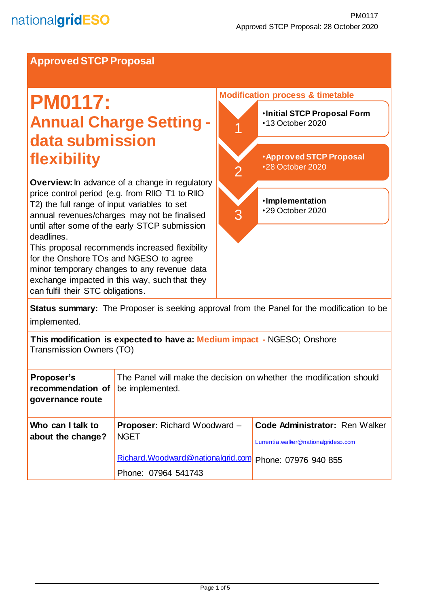### **Approved STCP Proposal**

# **PM0117: Annual Charge Setting data submission flexibility**

**Overview:**In advance of a change in regulatory price control period (e.g. from RIIO T1 to RIIO T2) the full range of input variables to set annual revenues/charges may not be finalised until after some of the early STCP submission deadlines.

This proposal recommends increased flexibility for the Onshore TOs and NGESO to agree minor temporary changes to any revenue data exchange impacted in this way, such that they can fulfil their STC obligations.



**Status summary:** The Proposer is seeking approval from the Panel for the modification to be implemented.

**This modification is expected to have a: Medium impact -** NGESO; Onshore Transmission Owners (TO)

| Proposer's<br>recommendation of<br>governance route | The Panel will make the decision on whether the modification should<br>be implemented. |                                                                        |
|-----------------------------------------------------|----------------------------------------------------------------------------------------|------------------------------------------------------------------------|
| Who can I talk to<br>about the change?              | <b>Proposer:</b> Richard Woodward –<br><b>NGET</b>                                     | Code Administrator: Ren Walker<br>Lurrentia.walker@nationalgrideso.com |
|                                                     | Richard.Woodward@nationalgrid.com<br>Phone: 07964 541743                               | Phone: 07976 940 855                                                   |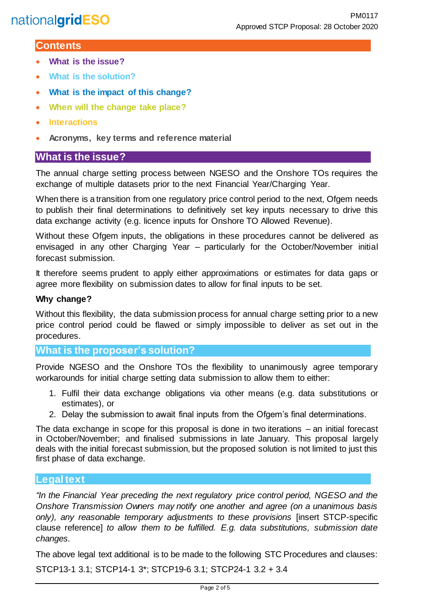#### **Contents**

- **What is the issue?**
- **What is the solution?**
- **What is the impact of this change?**
- **When will the change take place?**
- **Interactions**
- **Acronyms, key terms and reference material**

#### **What is the issue?**

The annual charge setting process between NGESO and the Onshore TOs requires the exchange of multiple datasets prior to the next Financial Year/Charging Year.

When there is a transition from one regulatory price control period to the next, Ofgem needs to publish their final determinations to definitively set key inputs necessary to drive this data exchange activity (e.g. licence inputs for Onshore TO Allowed Revenue).

Without these Ofgem inputs, the obligations in these procedures cannot be delivered as envisaged in any other Charging Year – particularly for the October/November initial forecast submission.

It therefore seems prudent to apply either approximations or estimates for data gaps or agree more flexibility on submission dates to allow for final inputs to be set.

#### **Why change?**

Without this flexibility, the data submission process for annual charge setting prior to a new price control period could be flawed or simply impossible to deliver as set out in the procedures.

#### **What is the proposer's solution?**

Provide NGESO and the Onshore TOs the flexibility to unanimously agree temporary workarounds for initial charge setting data submission to allow them to either:

- 1. Fulfil their data exchange obligations via other means (e.g. data substitutions or estimates), or
- 2. Delay the submission to await final inputs from the Ofgem's final determinations.

The data exchange in scope for this proposal is done in two iterations – an initial forecast in October/November; and finalised submissions in late January. This proposal largely deals with the initial forecast submission, but the proposed solution is not limited to just this first phase of data exchange.

#### **Legal text**

*"In the Financial Year preceding the next regulatory price control period, NGESO and the Onshore Transmission Owners may notify one another and agree (on a unanimous basis only), any reasonable temporary adjustments to these provisions* [insert STCP-specific clause reference] *to allow them to be fulfilled. E.g. data substitutions, submission date changes.*

The above legal text additional is to be made to the following STC Procedures and clauses: STCP13-1 3.1; STCP14-1 3\*; STCP19-6 3.1; STCP24-1 3.2 + 3.4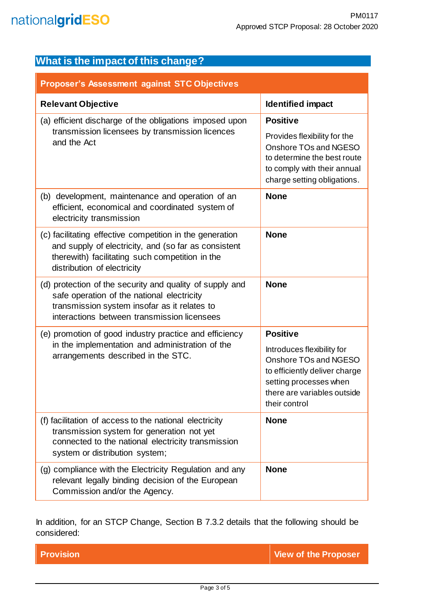| What is the impact of this change?                                                                                                                                                                    |                                                                                                                                                                |  |
|-------------------------------------------------------------------------------------------------------------------------------------------------------------------------------------------------------|----------------------------------------------------------------------------------------------------------------------------------------------------------------|--|
| <b>Proposer's Assessment against STC Objectives</b>                                                                                                                                                   |                                                                                                                                                                |  |
| <b>Relevant Objective</b>                                                                                                                                                                             | <b>Identified impact</b>                                                                                                                                       |  |
| (a) efficient discharge of the obligations imposed upon                                                                                                                                               | <b>Positive</b>                                                                                                                                                |  |
| transmission licensees by transmission licences<br>and the Act                                                                                                                                        | Provides flexibility for the<br>Onshore TOs and NGESO<br>to determine the best route<br>to comply with their annual<br>charge setting obligations.             |  |
| (b) development, maintenance and operation of an<br>efficient, economical and coordinated system of<br>electricity transmission                                                                       | <b>None</b>                                                                                                                                                    |  |
| (c) facilitating effective competition in the generation<br>and supply of electricity, and (so far as consistent<br>therewith) facilitating such competition in the<br>distribution of electricity    | <b>None</b>                                                                                                                                                    |  |
| (d) protection of the security and quality of supply and<br>safe operation of the national electricity<br>transmission system insofar as it relates to<br>interactions between transmission licensees | <b>None</b>                                                                                                                                                    |  |
| (e) promotion of good industry practice and efficiency                                                                                                                                                | <b>Positive</b>                                                                                                                                                |  |
| in the implementation and administration of the<br>arrangements described in the STC.                                                                                                                 | Introduces flexibility for<br>Onshore TOs and NGESO<br>to efficiently deliver charge<br>setting processes when<br>there are variables outside<br>their control |  |
| (f) facilitation of access to the national electricity<br>transmission system for generation not yet<br>connected to the national electricity transmission<br>system or distribution system;          | <b>None</b>                                                                                                                                                    |  |
| (g) compliance with the Electricity Regulation and any<br>relevant legally binding decision of the European<br>Commission and/or the Agency.                                                          | <b>None</b>                                                                                                                                                    |  |

In addition, for an STCP Change, Section B 7.3.2 details that the following should be considered:

**Provision Contract Contract Contract Contract Contract Contract Contract Contract Contract Contract Contract Contract Contract Contract Contract Contract Contract Contract Contract Contract Contract Contract Contract Cont**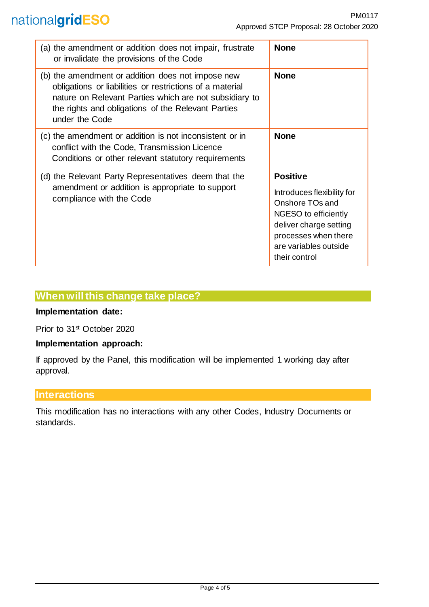## nationalgridESO

| (a) the amendment or addition does not impair, frustrate<br>or invalidate the provisions of the Code                                                                                                                                            | <b>None</b>                                                                                                                                                                          |
|-------------------------------------------------------------------------------------------------------------------------------------------------------------------------------------------------------------------------------------------------|--------------------------------------------------------------------------------------------------------------------------------------------------------------------------------------|
| (b) the amendment or addition does not impose new<br>obligations or liabilities or restrictions of a material<br>nature on Relevant Parties which are not subsidiary to<br>the rights and obligations of the Relevant Parties<br>under the Code | <b>None</b>                                                                                                                                                                          |
| (c) the amendment or addition is not inconsistent or in<br>conflict with the Code, Transmission Licence<br>Conditions or other relevant statutory requirements                                                                                  | <b>None</b>                                                                                                                                                                          |
| (d) the Relevant Party Representatives deem that the<br>amendment or addition is appropriate to support<br>compliance with the Code                                                                                                             | <b>Positive</b><br>Introduces flexibility for<br>Onshore TOs and<br>NGESO to efficiently<br>deliver charge setting<br>processes when there<br>are variables outside<br>their control |

### **When will this change take place?**

#### **Implementation date:**

Prior to 31<sup>st</sup> October 2020

#### **Implementation approach:**

If approved by the Panel, this modification will be implemented 1 working day after approval.

## **Interactions**

This modification has no interactions with any other Codes, Industry Documents or standards.